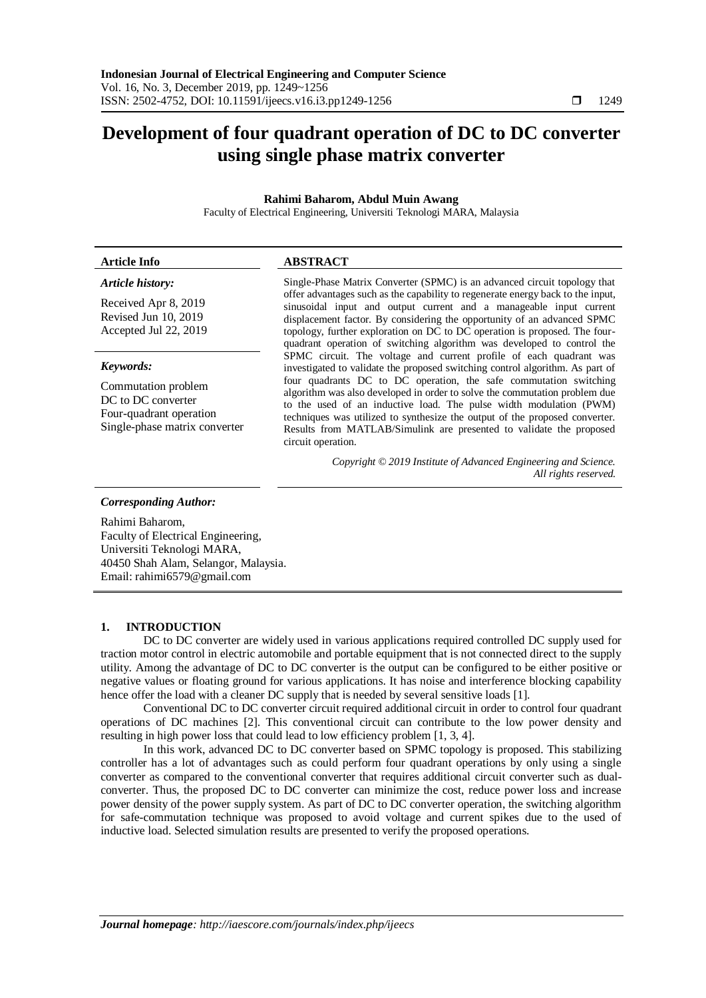# **Development of four quadrant operation of DC to DC converter using single phase matrix converter**

# **Rahimi Baharom, Abdul Muin Awang**

Faculty of Electrical Engineering, Universiti Teknologi MARA, Malaysia

### **Article Info ABSTRACT**

#### *Article history:*

Received Apr 8, 2019 Revised Jun 10, 2019 Accepted Jul 22, 2019

#### *Keywords:*

Commutation problem DC to DC converter Four-quadrant operation Single-phase matrix converter

Single-Phase Matrix Converter (SPMC) is an advanced circuit topology that offer advantages such as the capability to regenerate energy back to the input, sinusoidal input and output current and a manageable input current displacement factor. By considering the opportunity of an advanced SPMC topology, further exploration on DC to DC operation is proposed. The fourquadrant operation of switching algorithm was developed to control the SPMC circuit. The voltage and current profile of each quadrant was investigated to validate the proposed switching control algorithm. As part of four quadrants DC to DC operation, the safe commutation switching algorithm was also developed in order to solve the commutation problem due to the used of an inductive load. The pulse width modulation (PWM) techniques was utilized to synthesize the output of the proposed converter. Results from MATLAB/Simulink are presented to validate the proposed circuit operation.

> *Copyright © 2019 Institute of Advanced Engineering and Science. All rights reserved.*

#### *Corresponding Author:*

Rahimi Baharom, Faculty of Electrical Engineering, Universiti Teknologi MARA, 40450 Shah Alam, Selangor, Malaysia. Email: rahimi6579@gmail.com

# **1. INTRODUCTION**

DC to DC converter are widely used in various applications required controlled DC supply used for traction motor control in electric automobile and portable equipment that is not connected direct to the supply utility. Among the advantage of DC to DC converter is the output can be configured to be either positive or negative values or floating ground for various applications. It has noise and interference blocking capability hence offer the load with a cleaner DC supply that is needed by several sensitive loads [1].

Conventional DC to DC converter circuit required additional circuit in order to control four quadrant operations of DC machines [2]. This conventional circuit can contribute to the low power density and resulting in high power loss that could lead to low efficiency problem [1, 3, 4].

In this work, advanced DC to DC converter based on SPMC topology is proposed. This stabilizing controller has a lot of advantages such as could perform four quadrant operations by only using a single converter as compared to the conventional converter that requires additional circuit converter such as dualconverter. Thus, the proposed DC to DC converter can minimize the cost, reduce power loss and increase power density of the power supply system. As part of DC to DC converter operation, the switching algorithm for safe-commutation technique was proposed to avoid voltage and current spikes due to the used of inductive load. Selected simulation results are presented to verify the proposed operations.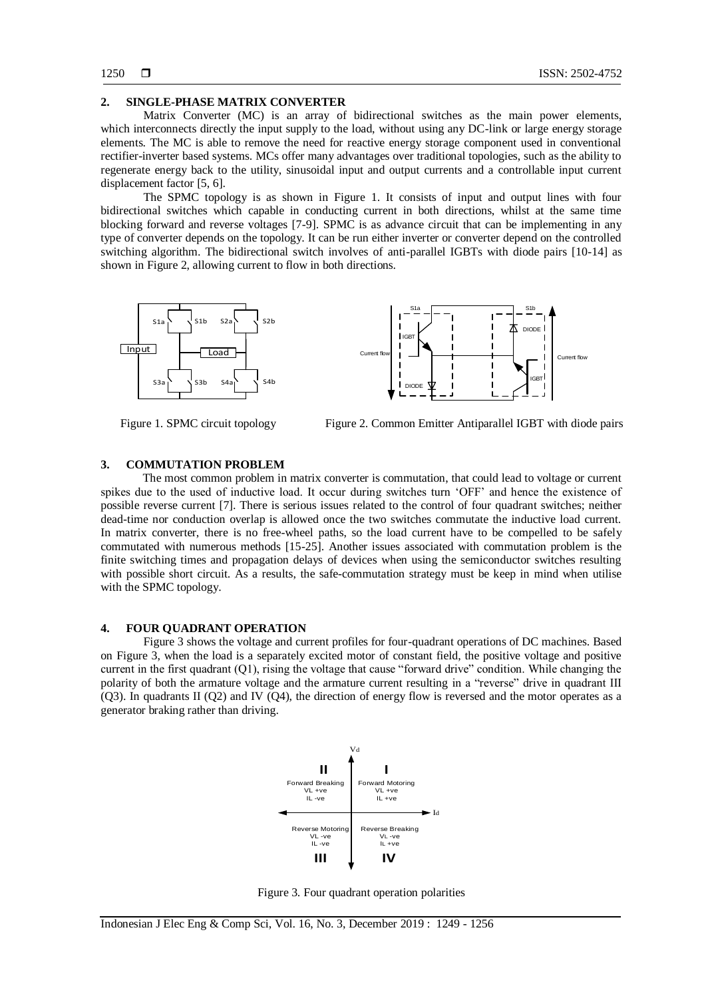# **2. SINGLE-PHASE MATRIX CONVERTER**

Matrix Converter (MC) is an array of bidirectional switches as the main power elements, which interconnects directly the input supply to the load, without using any DC-link or large energy storage elements. The MC is able to remove the need for reactive energy storage component used in conventional rectifier-inverter based systems. MCs offer many advantages over traditional topologies, such as the ability to regenerate energy back to the utility, sinusoidal input and output currents and a controllable input current displacement factor [5, 6].

The SPMC topology is as shown in Figure 1. It consists of input and output lines with four bidirectional switches which capable in conducting current in both directions, whilst at the same time blocking forward and reverse voltages [7-9]. SPMC is as advance circuit that can be implementing in any type of converter depends on the topology. It can be run either inverter or converter depend on the controlled switching algorithm. The bidirectional switch involves of anti-parallel IGBTs with diode pairs [10-14] as shown in Figure 2, allowing current to flow in both directions.



Figure 1. SPMC circuit topology Figure 2. Common Emitter Antiparallel IGBT with diode pairs

### **3. COMMUTATION PROBLEM**

The most common problem in matrix converter is commutation, that could lead to voltage or current spikes due to the used of inductive load. It occur during switches turn 'OFF' and hence the existence of possible reverse current [7]. There is serious issues related to the control of four quadrant switches; neither dead-time nor conduction overlap is allowed once the two switches commutate the inductive load current. In matrix converter, there is no free-wheel paths, so the load current have to be compelled to be safely commutated with numerous methods [15-25]. Another issues associated with commutation problem is the finite switching times and propagation delays of devices when using the semiconductor switches resulting with possible short circuit. As a results, the safe-commutation strategy must be keep in mind when utilise with the SPMC topology.

### **4. FOUR QUADRANT OPERATION**

Figure 3 shows the voltage and current profiles for four-quadrant operations of DC machines. Based on Figure 3, when the load is a separately excited motor of constant field, the positive voltage and positive current in the first quadrant (Q1), rising the voltage that cause "forward drive" condition. While changing the polarity of both the armature voltage and the armature current resulting in a "reverse" drive in quadrant III (Q3). In quadrants II (Q2) and IV (Q4), the direction of energy flow is reversed and the motor operates as a generator braking rather than driving.



Figure 3. Four quadrant operation polarities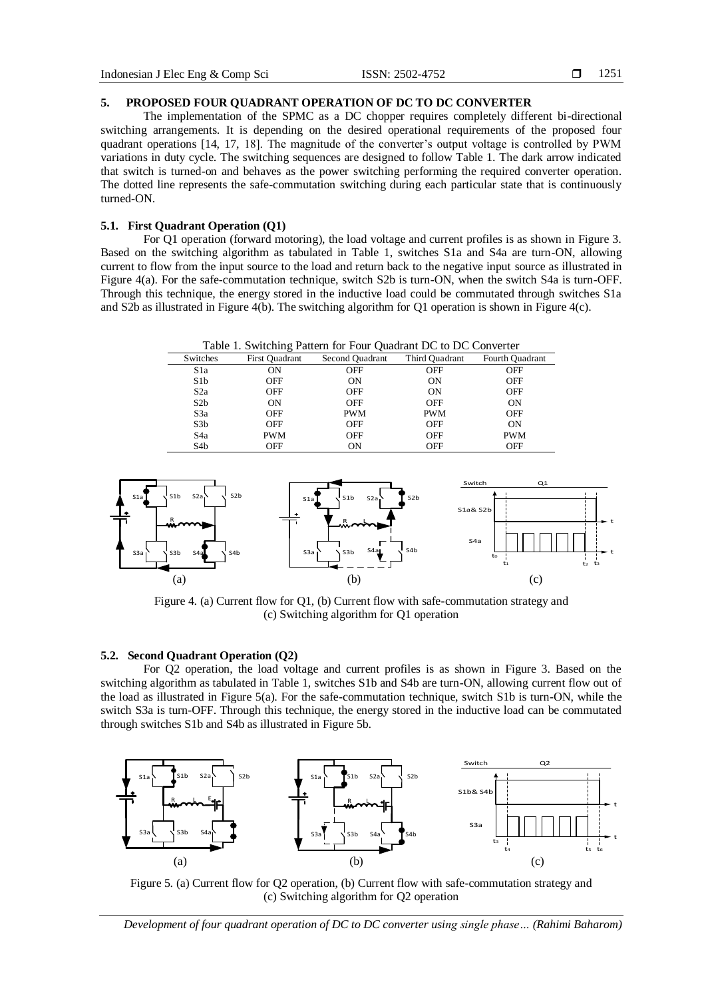# **5. PROPOSED FOUR QUADRANT OPERATION OF DC TO DC CONVERTER**

The implementation of the SPMC as a DC chopper requires completely different bi-directional switching arrangements. It is depending on the desired operational requirements of the proposed four quadrant operations [14, 17, 18]. The magnitude of the converter's output voltage is controlled by PWM variations in duty cycle. The switching sequences are designed to follow Table 1. The dark arrow indicated that switch is turned-on and behaves as the power switching performing the required converter operation. The dotted line represents the safe-commutation switching during each particular state that is continuously turned-ON.

# **5.1. First Quadrant Operation (Q1)**

For Q1 operation (forward motoring), the load voltage and current profiles is as shown in Figure 3. Based on the switching algorithm as tabulated in Table 1, switches S1a and S4a are turn-ON, allowing current to flow from the input source to the load and return back to the negative input source as illustrated in Figure 4(a). For the safe-commutation technique, switch S2b is turn-ON, when the switch S4a is turn-OFF. Through this technique, the energy stored in the inductive load could be commutated through switches S1a and S2b as illustrated in Figure 4(b). The switching algorithm for Q1 operation is shown in Figure 4(c).

| Table 1. Switching Pattern for Four Quadrant DC to DC Converter |                |                 |                |                 |
|-----------------------------------------------------------------|----------------|-----------------|----------------|-----------------|
| Switches                                                        | First Quadrant | Second Quadrant | Third Quadrant | Fourth Quadrant |
| S1a                                                             | OΝ             | OFF             | OFF            | OFF             |
| S1b                                                             | OFF            | ON              | ON             | OFF             |
| S2a                                                             | OFF            | <b>OFF</b>      | ON             | <b>OFF</b>      |
| S2b                                                             | ON             | OFF             | <b>OFF</b>     | ON              |
| S <sub>3</sub> a                                                | OFF            | <b>PWM</b>      | <b>PWM</b>     | OFF             |
| S3b                                                             | OFF            | OFF             | OFF            | ON              |
| S <sub>4</sub> a                                                | <b>PWM</b>     | <b>OFF</b>      | OFF            | <b>PWM</b>      |
| S <sub>4</sub> b                                                | OFF            | OΝ              | OFF            | OFF             |



Figure 4. (a) Current flow for Q1, (b) Current flow with safe-commutation strategy and (c) Switching algorithm for Q1 operation

# **5.2. Second Quadrant Operation (Q2)**

For Q2 operation, the load voltage and current profiles is as shown in Figure 3. Based on the switching algorithm as tabulated in Table 1, switches S1b and S4b are turn-ON, allowing current flow out of the load as illustrated in Figure 5(a). For the safe-commutation technique, switch S1b is turn-ON, while the switch S3a is turn-OFF. Through this technique, the energy stored in the inductive load can be commutated through switches S1b and S4b as illustrated in Figure 5b.



Figure 5. (a) Current flow for Q2 operation, (b) Current flow with safe-commutation strategy and (c) Switching algorithm for Q2 operation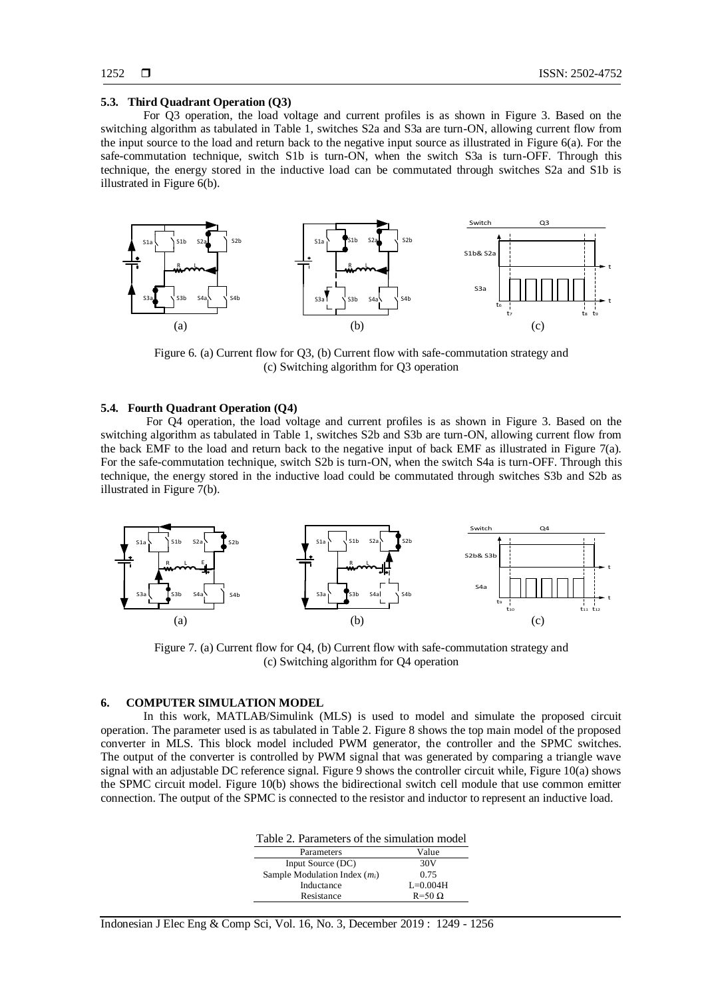#### **5.3. Third Quadrant Operation (Q3)**

For Q3 operation, the load voltage and current profiles is as shown in Figure 3. Based on the switching algorithm as tabulated in Table 1, switches S2a and S3a are turn-ON, allowing current flow from the input source to the load and return back to the negative input source as illustrated in Figure 6(a). For the safe-commutation technique, switch S1b is turn-ON, when the switch S3a is turn-OFF. Through this technique, the energy stored in the inductive load can be commutated through switches S2a and S1b is illustrated in Figure 6(b).



Figure 6. (a) Current flow for Q3, (b) Current flow with safe-commutation strategy and (c) Switching algorithm for Q3 operation

# **5.4. Fourth Quadrant Operation (Q4)**

For Q4 operation, the load voltage and current profiles is as shown in Figure 3. Based on the switching algorithm as tabulated in Table 1, switches S2b and S3b are turn-ON, allowing current flow from the back EMF to the load and return back to the negative input of back EMF as illustrated in Figure 7(a). For the safe-commutation technique, switch S2b is turn-ON, when the switch S4a is turn-OFF. Through this technique, the energy stored in the inductive load could be commutated through switches S3b and S2b as illustrated in Figure 7(b).



Figure 7. (a) Current flow for Q4, (b) Current flow with safe-commutation strategy and (c) Switching algorithm for Q4 operation

#### **6. COMPUTER SIMULATION MODEL**

In this work, MATLAB/Simulink (MLS) is used to model and simulate the proposed circuit operation. The parameter used is as tabulated in Table 2. Figure 8 shows the top main model of the proposed converter in MLS. This block model included PWM generator, the controller and the SPMC switches. The output of the converter is controlled by PWM signal that was generated by comparing a triangle wave signal with an adjustable DC reference signal. Figure 9 shows the controller circuit while, Figure 10(a) shows the SPMC circuit model. Figure 10(b) shows the bidirectional switch cell module that use common emitter connection. The output of the SPMC is connected to the resistor and inductor to represent an inductive load.

| Table 2. Parameters of the simulation model |  |  |  |  |
|---------------------------------------------|--|--|--|--|
| Value                                       |  |  |  |  |
| 30 <sub>V</sub>                             |  |  |  |  |
| 0.75                                        |  |  |  |  |
| $L=0.004H$                                  |  |  |  |  |
| $R=50 \Omega$                               |  |  |  |  |
|                                             |  |  |  |  |

Indonesian J Elec Eng & Comp Sci, Vol. 16, No. 3, December 2019 : 1249 - 1256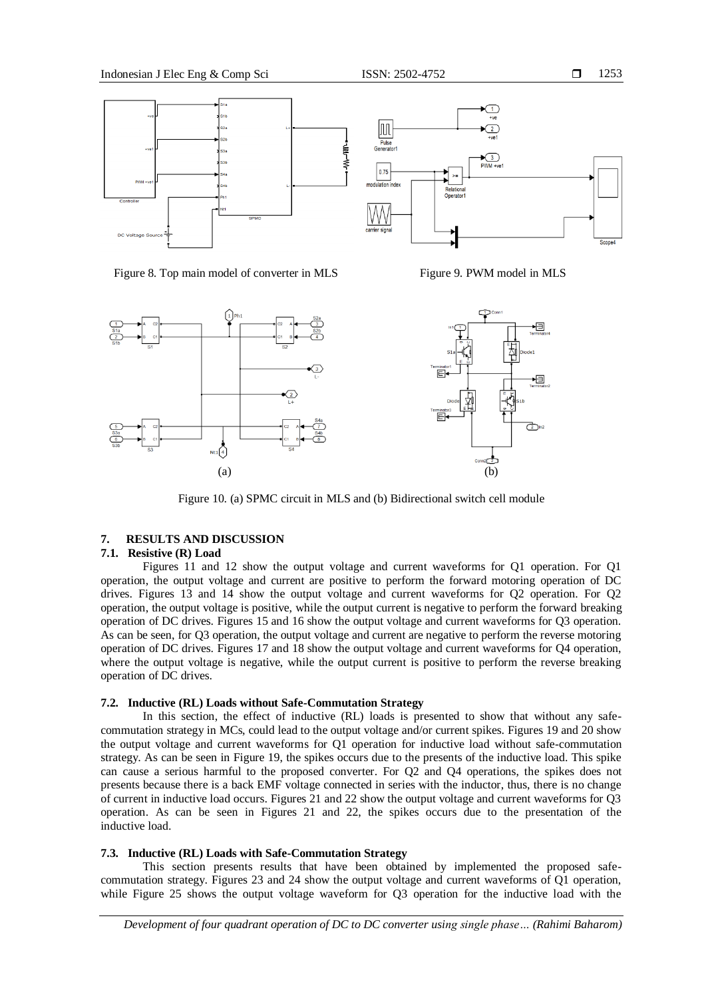



Figure 8. Top main model of converter in MLS Figure 9. PWM model in MLS



Figure 10. (a) SPMC circuit in MLS and (b) Bidirectional switch cell module

# **7. RESULTS AND DISCUSSION**

# **7.1. Resistive (R) Load**

Figures 11 and 12 show the output voltage and current waveforms for Q1 operation. For Q1 operation, the output voltage and current are positive to perform the forward motoring operation of DC drives. Figures 13 and 14 show the output voltage and current waveforms for Q2 operation. For Q2 operation, the output voltage is positive, while the output current is negative to perform the forward breaking operation of DC drives. Figures 15 and 16 show the output voltage and current waveforms for Q3 operation. As can be seen, for Q3 operation, the output voltage and current are negative to perform the reverse motoring operation of DC drives. Figures 17 and 18 show the output voltage and current waveforms for Q4 operation, where the output voltage is negative, while the output current is positive to perform the reverse breaking operation of DC drives.

#### **7.2. Inductive (RL) Loads without Safe-Commutation Strategy**

In this section, the effect of inductive (RL) loads is presented to show that without any safecommutation strategy in MCs, could lead to the output voltage and/or current spikes. Figures 19 and 20 show the output voltage and current waveforms for Q1 operation for inductive load without safe-commutation strategy. As can be seen in Figure 19, the spikes occurs due to the presents of the inductive load. This spike can cause a serious harmful to the proposed converter. For Q2 and Q4 operations, the spikes does not presents because there is a back EMF voltage connected in series with the inductor, thus, there is no change of current in inductive load occurs. Figures 21 and 22 show the output voltage and current waveforms for Q3 operation. As can be seen in Figures 21 and 22, the spikes occurs due to the presentation of the inductive load.

# **7.3. Inductive (RL) Loads with Safe-Commutation Strategy**

This section presents results that have been obtained by implemented the proposed safecommutation strategy. Figures 23 and 24 show the output voltage and current waveforms of Q1 operation, while Figure 25 shows the output voltage waveform for Q3 operation for the inductive load with the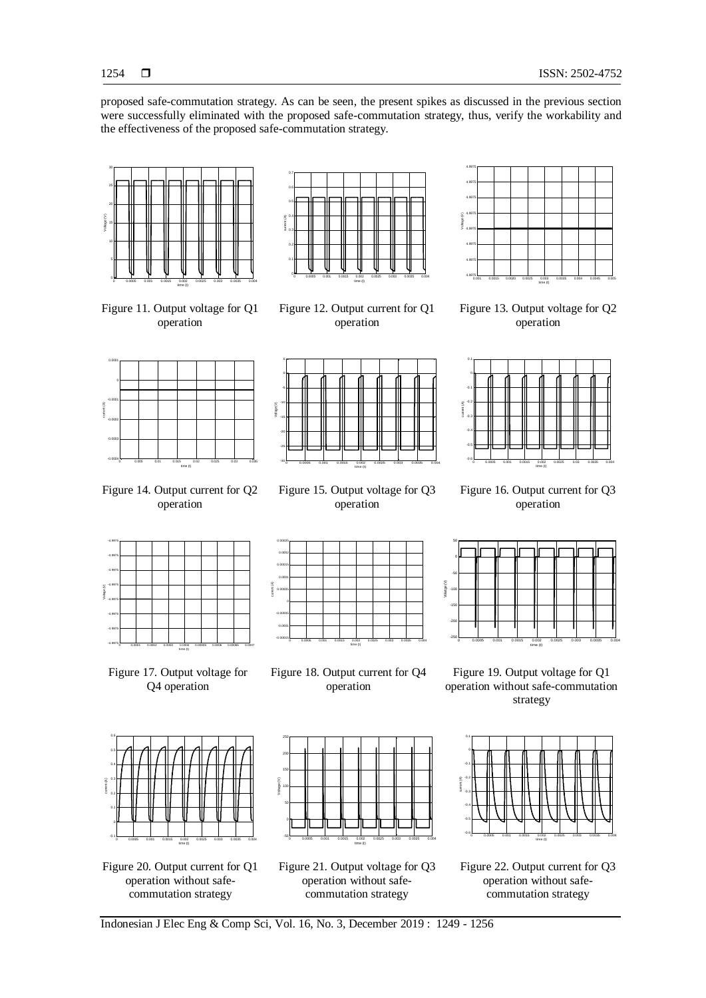proposed safe-commutation strategy. As can be seen, the present spikes as discussed in the previous section were successfully eliminated with the proposed safe-commutation strategy, thus, verify the workability and the effectiveness of the proposed safe-commutation strategy.



Figure 11. Output voltage for Q1 operation



Figure 12. Output current for Q1 operation



Figure 13. Output voltage for Q2 operation



Figure 14. Output current for Q2 operation



Figure 15. Output voltage for Q3 operation



Figure 16. Output current for Q3 operation



Figure 17. Output voltage for Q4 operation



Figure 20. Output current for Q1 operation without safecommutation strategy



Figure 18. Output current for Q4 operation

Figure 21. Output voltage for Q3 operation without safecommutation strategy

time (t)



 $-250 -$ -200 -150 -100 -50 ٥ŀ 50

Volatge (V)

Figure 19. Output voltage for Q1 operation without safe-commutation strategy

0 0.0005 0.001 0.0015 0.002 0.0025 0.003 0.0035 0.004

time (t)



Figure 22. Output current for Q3 operation without safecommutation strategy



Voltage (V)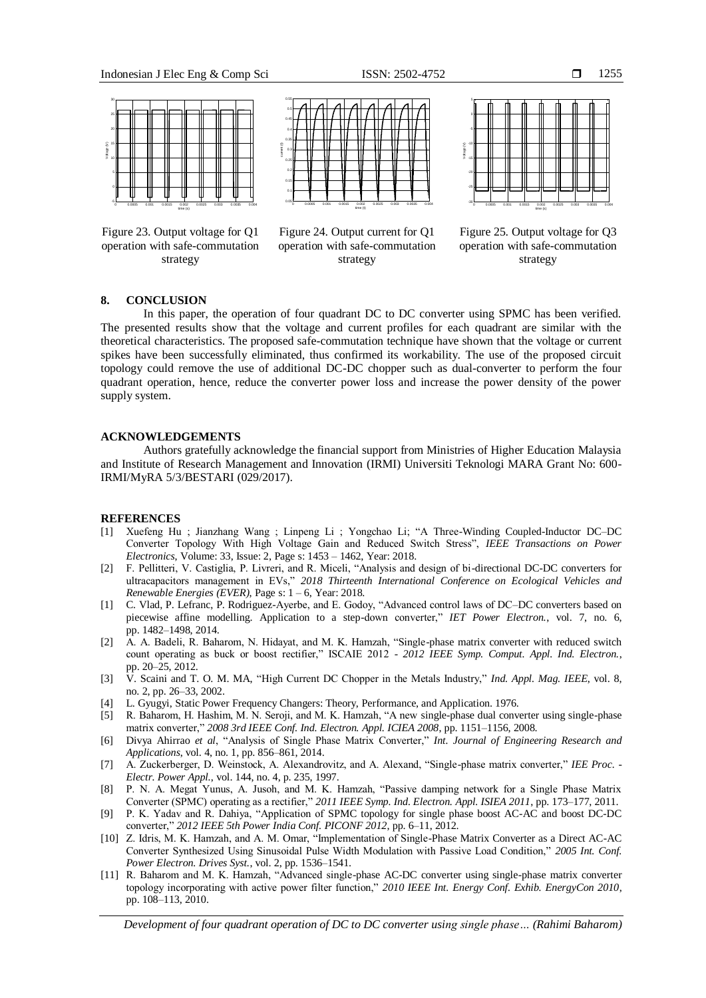

Figure 23. Output voltage for Q1 operation with safe-commutation strategy



Figure 24. Output current for Q1 operation with safe-commutation strategy



Figure 25. Output voltage for Q3 operation with safe-commutation strategy

# **8. CONCLUSION**

In this paper, the operation of four quadrant DC to DC converter using SPMC has been verified. The presented results show that the voltage and current profiles for each quadrant are similar with the theoretical characteristics. The proposed safe-commutation technique have shown that the voltage or current spikes have been successfully eliminated, thus confirmed its workability. The use of the proposed circuit topology could remove the use of additional DC-DC chopper such as dual-converter to perform the four quadrant operation, hence, reduce the converter power loss and increase the power density of the power supply system.

#### **ACKNOWLEDGEMENTS**

Authors gratefully acknowledge the financial support from Ministries of Higher Education Malaysia and Institute of Research Management and Innovation (IRMI) Universiti Teknologi MARA Grant No: 600- IRMI/MyRA 5/3/BESTARI (029/2017).

#### **REFERENCES**

- [1] Xuefeng Hu ; Jianzhang Wang ; Linpeng Li ; Yongchao Li; "A Three-Winding Coupled-Inductor DC–DC Converter Topology With High Voltage Gain and Reduced Switch Stress", *IEEE Transactions on Power Electronics*, Volume: 33, Issue: 2, Page s: 1453 – 1462, Year: 2018.
- [2] F. Pellitteri, V. Castiglia, P. Livreri, and R. Miceli, "Analysis and design of bi-directional DC-DC converters for ultracapacitors management in EVs," *2018 Thirteenth International Conference on Ecological Vehicles and Renewable Energies (EVER)*, Page s: 1 – 6, Year: 2018.
- [1] C. Vlad, P. Lefranc, P. Rodriguez-Ayerbe, and E. Godoy, "Advanced control laws of DC–DC converters based on piecewise affine modelling. Application to a step-down converter," *IET Power Electron.*, vol. 7, no. 6, pp. 1482–1498, 2014.
- [2] A. A. Badeli, R. Baharom, N. Hidayat, and M. K. Hamzah, "Single-phase matrix converter with reduced switch count operating as buck or boost rectifier," ISCAIE 2012 - *2012 IEEE Symp. Comput. Appl. Ind. Electron.*, pp. 20–25, 2012.
- [3] V. Scaini and T. O. M. MA, "High Current DC Chopper in the Metals Industry," *Ind. Appl. Mag. IEEE*, vol. 8, no. 2, pp. 26–33, 2002.
- [4] L. Gyugyi, Static Power Frequency Changers: Theory, Performance, and Application. 1976.
- [5] R. Baharom, H. Hashim, M. N. Seroji, and M. K. Hamzah, "A new single-phase dual converter using single-phase matrix converter," *2008 3rd IEEE Conf. Ind. Electron. Appl. ICIEA 2008*, pp. 1151–1156, 2008.
- [6] Divya Ahirrao *et al*, "Analysis of Single Phase Matrix Converter," *Int. Journal of Engineering Research and Applications*, vol. 4, no. 1, pp. 856–861, 2014.
- [7] A. Zuckerberger, D. Weinstock, A. Alexandrovitz, and A. Alexand, "Single-phase matrix converter," *IEE Proc. - Electr. Power Appl.*, vol. 144, no. 4, p. 235, 1997.
- [8] P. N. A. Megat Yunus, A. Jusoh, and M. K. Hamzah, "Passive damping network for a Single Phase Matrix Converter (SPMC) operating as a rectifier," *2011 IEEE Symp. Ind. Electron. Appl. ISIEA 2011*, pp. 173–177, 2011.
- [9] P. K. Yadav and R. Dahiya, "Application of SPMC topology for single phase boost AC-AC and boost DC-DC converter," *2012 IEEE 5th Power India Conf. PICONF 2012*, pp. 6–11, 2012.
- [10] Z. Idris, M. K. Hamzah, and A. M. Omar, "Implementation of Single-Phase Matrix Converter as a Direct AC-AC Converter Synthesized Using Sinusoidal Pulse Width Modulation with Passive Load Condition," *2005 Int. Conf. Power Electron. Drives Syst.*, vol. 2, pp. 1536–1541.
- [11] R. Baharom and M. K. Hamzah, "Advanced single-phase AC-DC converter using single-phase matrix converter topology incorporating with active power filter function," *2010 IEEE Int. Energy Conf. Exhib. EnergyCon 2010*, pp. 108–113, 2010.

*Development of four quadrant operation of DC to DC converter using single phase… (Rahimi Baharom)*